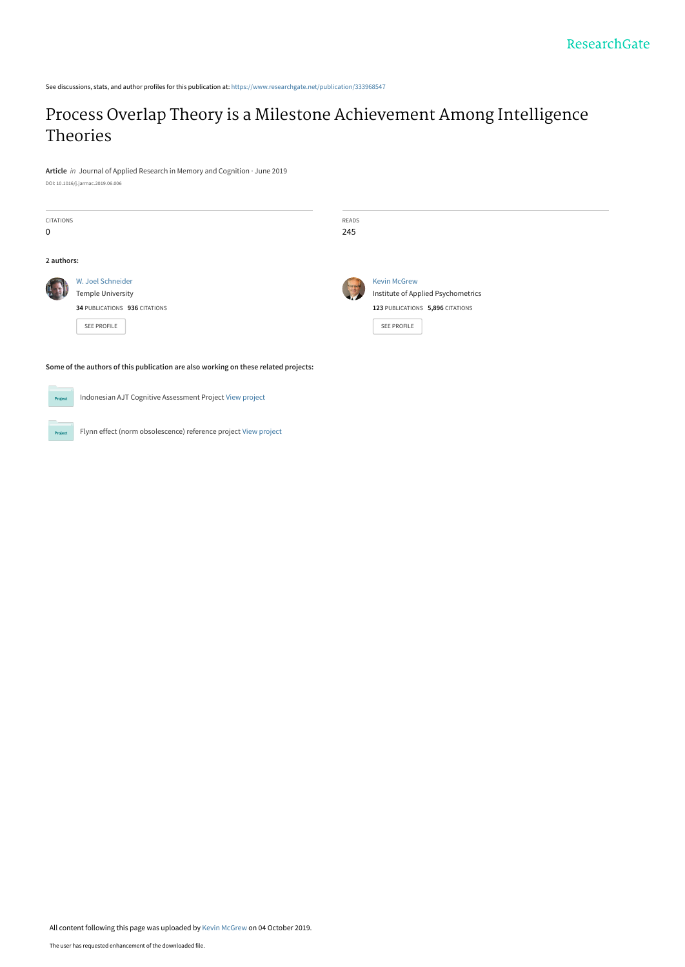See discussions, stats, and author profiles for this publication at: [https://www.researchgate.net/publication/333968547](https://www.researchgate.net/publication/333968547_Process_Overlap_Theory_is_a_Milestone_Achievement_Among_Intelligence_Theories?enrichId=rgreq-8d0c3e8ae2a2389cdaa93bda83b855b3-XXX&enrichSource=Y292ZXJQYWdlOzMzMzk2ODU0NztBUzo4MTAzMTY0NzI1MzI5OTZAMTU3MDIwNTkxMDczOQ%3D%3D&el=1_x_2&_esc=publicationCoverPdf)

# [Process Overlap Theory is a Milestone Achievement Among Intelligence](https://www.researchgate.net/publication/333968547_Process_Overlap_Theory_is_a_Milestone_Achievement_Among_Intelligence_Theories?enrichId=rgreq-8d0c3e8ae2a2389cdaa93bda83b855b3-XXX&enrichSource=Y292ZXJQYWdlOzMzMzk2ODU0NztBUzo4MTAzMTY0NzI1MzI5OTZAMTU3MDIwNTkxMDczOQ%3D%3D&el=1_x_3&_esc=publicationCoverPdf) Theories

**Article** in Journal of Applied Research in Memory and Cognition · June 2019 DOI: 10.1016/j.jarmac.2019.06.006

| CITATIONS<br>$\mathbf 0$ |                                                                                               | READS<br>245 |                                                                                                              |
|--------------------------|-----------------------------------------------------------------------------------------------|--------------|--------------------------------------------------------------------------------------------------------------|
| 2 authors:               |                                                                                               |              |                                                                                                              |
|                          | W. Joel Schneider<br>Temple University<br>34 PUBLICATIONS 936 CITATIONS<br><b>SEE PROFILE</b> |              | <b>Kevin McGrew</b><br>Institute of Applied Psychometrics<br>123 PUBLICATIONS 5,896 CITATIONS<br>SEE PROFILE |

**Some of the authors of this publication are also working on these related projects:**



Indonesian AJT Cognitive Assessment Project [View project](https://www.researchgate.net/project/Indonesian-AJT-Cognitive-Assessment-Project?enrichId=rgreq-8d0c3e8ae2a2389cdaa93bda83b855b3-XXX&enrichSource=Y292ZXJQYWdlOzMzMzk2ODU0NztBUzo4MTAzMTY0NzI1MzI5OTZAMTU3MDIwNTkxMDczOQ%3D%3D&el=1_x_9&_esc=publicationCoverPdf)

Proj

Flynn effect (norm obsolescence) reference project [View project](https://www.researchgate.net/project/Flynn-effect-norm-obsolescence-reference-project?enrichId=rgreq-8d0c3e8ae2a2389cdaa93bda83b855b3-XXX&enrichSource=Y292ZXJQYWdlOzMzMzk2ODU0NztBUzo4MTAzMTY0NzI1MzI5OTZAMTU3MDIwNTkxMDczOQ%3D%3D&el=1_x_9&_esc=publicationCoverPdf)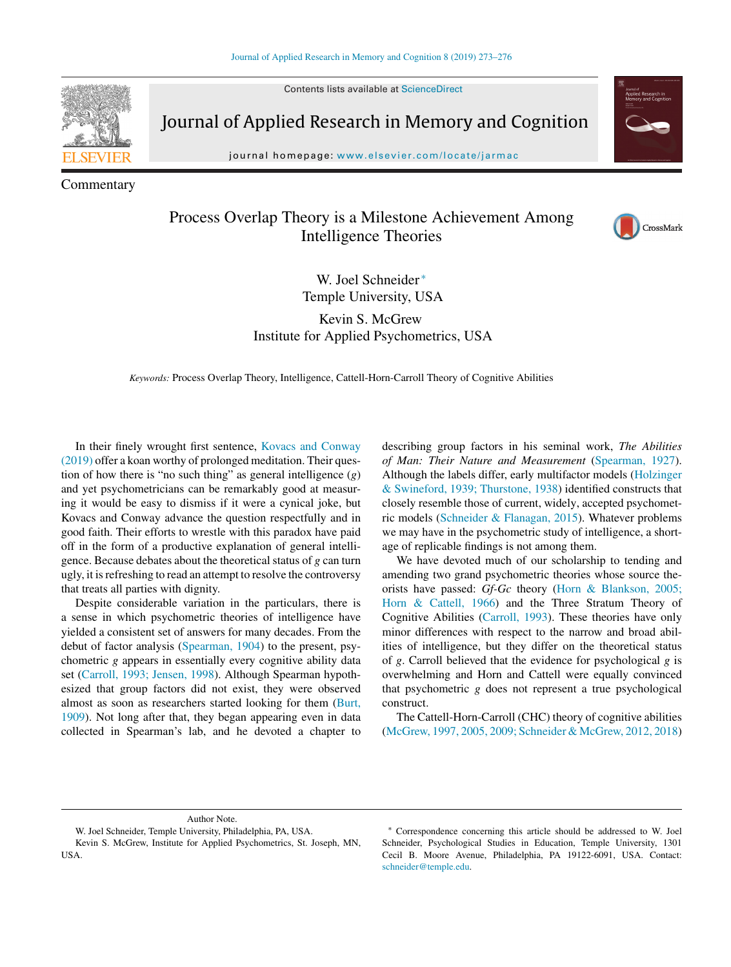Contents lists available at [ScienceDirect](http://www.sciencedirect.com/science/journal/22113681)



Journal of Applied Research in Memory and Cognition

journal homepage: [www.elsevier.com/locate/jarmac](http://www.elsevier.com/locate/jarmac)

Commentary

# Process Overlap Theory is a Milestone Achievement Among Intelligence Theories



W. Joel Schneider<sup>\*</sup> Temple University, USA

Kevin S. McGrew Institute for Applied Psychometrics, USA

*Keywords:* Process Overlap Theory, Intelligence, Cattell-Horn-Carroll Theory of Cognitive Abilities

In their finely wrought first sentence, [Kovacs](#page-4-0) [and](#page-4-0) [Conway](#page-4-0) [\(2019\)](#page-4-0) offer a koan worthy of prolonged meditation. Their question of how there is "no such thing" as general intelligence (*g*) and yet psychometricians can be remarkably good at measuring it would be easy to dismiss if it were a cynical joke, but Kovacs and Conway advance the question respectfully and in good faith. Their efforts to wrestle with this paradox have paid off in the form of a productive explanation of general intelligence. Because debates about the theoretical status of *g* can turn ugly, it is refreshing to read an attempt to resolve the controversy that treats all parties with dignity.

Despite considerable variation in the particulars, there is a sense in which psychometric theories of intelligence have yielded a consistent set of answers for many decades. From the debut of factor analysis [\(Spearman,](#page-4-0) [1904\)](#page-4-0) to the present, psychometric *g* appears in essentially every cognitive ability data set ([Carroll,](#page-4-0) [1993;](#page-4-0) [Jensen,](#page-4-0) [1998\).](#page-4-0) Although Spearman hypothesized that group factors did not exist, they were observed almost as soon as researchers started looking for them ([Burt,](#page-4-0) [1909\).](#page-4-0) Not long after that, they began appearing even in data collected in Spearman's lab, and he devoted a chapter to describing group factors in his seminal work, *The Abilities of Man: Their Nature and Measurement* [\(Spearman,](#page-4-0) [1927\).](#page-4-0) Although the labels differ, early multifactor models ([Holzinger](#page-4-0) [&](#page-4-0) [Swineford,](#page-4-0) [1939;](#page-4-0) [Thurstone,](#page-4-0) [1938\)](#page-4-0) identified constructs that closely resemble those of current, widely, accepted psychometric models [\(Schneider](#page-4-0) [&](#page-4-0) [Flanagan,](#page-4-0) [2015\).](#page-4-0) Whatever problems we may have in the psychometric study of intelligence, a shortage of replicable findings is not among them.

We have devoted much of our scholarship to tending and amending two grand psychometric theories whose source theorists have passed: *Gf-Gc* theory ([Horn](#page-4-0) [&](#page-4-0) [Blankson,](#page-4-0) [2005;](#page-4-0) [Horn](#page-4-0) [&](#page-4-0) [Cattell,](#page-4-0) [1966\)](#page-4-0) and the Three Stratum Theory of Cognitive Abilities ([Carroll,](#page-4-0) [1993\).](#page-4-0) These theories have only minor differences with respect to the narrow and broad abilities of intelligence, but they differ on the theoretical status of *g*. Carroll believed that the evidence for psychological *g* is overwhelming and Horn and Cattell were equally convinced that psychometric *g* does not represent a true psychological construct.

The Cattell-Horn-Carroll (CHC) theory of cognitive abilities [\(McGrew,](#page-4-0) [1997,](#page-4-0) [2005,](#page-4-0) [2009;](#page-4-0) [Schneider](#page-4-0) [&](#page-4-0) [McGrew,](#page-4-0) [2012,](#page-4-0) [2018\)](#page-4-0)

#### Author Note.

W. Joel Schneider, Temple University, Philadelphia, PA, USA.

Kevin S. McGrew, Institute for Applied Psychometrics, St. Joseph, MN, USA.

<sup>∗</sup> Correspondence concerning this article should be addressed to W. Joel Schneider, Psychological Studies in Education, Temple University, 1301 Cecil B. Moore Avenue, Philadelphia, PA 19122-6091, USA. Contact: [schneider@temple.edu.](mailto:schneider@temple.edu)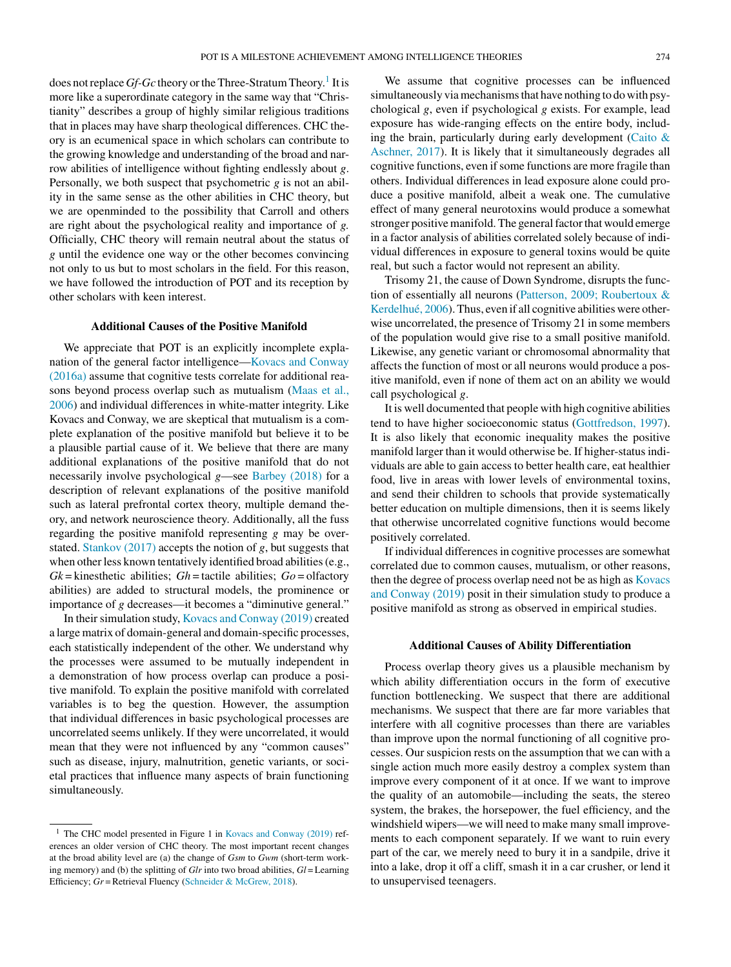does not replace *Gf-Gc* theory or the Three-Stratum Theory.<sup>1</sup> It is more like a superordinate category in the same way that "Christianity" describes a group of highly similar religious traditions that in places may have sharp theological differences. CHC theory is an ecumenical space in which scholars can contribute to the growing knowledge and understanding of the broad and narrow abilities of intelligence without fighting endlessly about *g*. Personally, we both suspect that psychometric *g* is not an ability in the same sense as the other abilities in CHC theory, but we are openminded to the possibility that Carroll and others are right about the psychological reality and importance of *g.* Officially, CHC theory will remain neutral about the status of *g* until the evidence one way or the other becomes convincing not only to us but to most scholars in the field. For this reason, we have followed the introduction of POT and its reception by other scholars with keen interest.

# **Additional Causes of the Positive Manifold**

We appreciate that POT is an explicitly incomplete explanation of the general factor intelligence—[Kovacs](#page-4-0) [and](#page-4-0) [Conway](#page-4-0) [\(2016a\)](#page-4-0) assume that cognitive tests correlate for additional reasons beyond process overlap such as mutualism ([Maas](#page-4-0) et [al.,](#page-4-0) [2006\)](#page-4-0) and individual differences in white-matter integrity. Like Kovacs and Conway, we are skeptical that mutualism is a complete explanation of the positive manifold but believe it to be a plausible partial cause of it. We believe that there are many additional explanations of the positive manifold that do not necessarily involve psychological *g*—see [Barbey](#page-4-0) [\(2018\)](#page-4-0) for a description of relevant explanations of the positive manifold such as lateral prefrontal cortex theory, multiple demand theory, and network neuroscience theory. Additionally, all the fuss regarding the positive manifold representing *g* may be overstated. [Stankov](#page-4-0) [\(2017\)](#page-4-0) accepts the notion of *g*, but suggests that when other less known tentatively identified broad abilities (e.g.,  $Gk$  = kinesthetic abilities;  $Gh$  = tactile abilities;  $Go =$  olfactory abilities) are added to structural models, the prominence or importance of *g* decreases—it becomes a "diminutive general."

In their simulation study, [Kovacs](#page-4-0) [and](#page-4-0) [Conway](#page-4-0) [\(2019\)](#page-4-0) created a large matrix of domain-general and domain-specific processes, each statistically independent of the other. We understand why the processes were assumed to be mutually independent in a demonstration of how process overlap can produce a positive manifold. To explain the positive manifold with correlated variables is to beg the question. However, the assumption that individual differences in basic psychological processes are uncorrelated seems unlikely. If they were uncorrelated, it would mean that they were not influenced by any "common causes" such as disease, injury, malnutrition, genetic variants, or societal practices that influence many aspects of brain functioning simultaneously.

We assume that cognitive processes can be influenced simultaneously via mechanisms that have nothing to do with psychological *g*, even if psychological *g* exists. For example, lead exposure has wide-ranging effects on the entire body, includ-ing the brain, particularly during early development [\(Caito](#page-4-0)  $\&$  $\&$ [Aschner,](#page-4-0) [2017\).](#page-4-0) It is likely that it simultaneously degrades all cognitive functions, even if some functions are more fragile than others. Individual differences in lead exposure alone could produce a positive manifold, albeit a weak one. The cumulative effect of many general neurotoxins would produce a somewhat stronger positive manifold. The general factor that would emerge in a factor analysis of abilities correlated solely because of individual differences in exposure to general toxins would be quite real, but such a factor would not represent an ability.

Trisomy 21, the cause of Down Syndrome, disrupts the function of essentially all neurons [\(Patterson,](#page-4-0) [2009;](#page-4-0) [Roubertoux](#page-4-0) [&](#page-4-0) [Kerdelhué,](#page-4-0) [2006\).](#page-4-0) Thus, even if all cognitive abilities were otherwise uncorrelated, the presence of Trisomy 21 in some members of the population would give rise to a small positive manifold. Likewise, any genetic variant or chromosomal abnormality that affects the function of most or all neurons would produce a positive manifold, even if none of them act on an ability we would call psychological *g*.

It is well documented that people with high cognitive abilities tend to have higher socioeconomic status [\(Gottfredson,](#page-4-0) [1997\).](#page-4-0) It is also likely that economic inequality makes the positive manifold larger than it would otherwise be. If higher-status individuals are able to gain access to better health care, eat healthier food, live in areas with lower levels of environmental toxins, and send their children to schools that provide systematically better education on multiple dimensions, then it is seems likely that otherwise uncorrelated cognitive functions would become positively correlated.

If individual differences in cognitive processes are somewhat correlated due to common causes, mutualism, or other reasons, then the degree of process overlap need not be as high as [Kovacs](#page-4-0) [and](#page-4-0) [Conway](#page-4-0) [\(2019\)](#page-4-0) posit in their simulation study to produce a positive manifold as strong as observed in empirical studies.

#### **Additional Causes of Ability Differentiation**

Process overlap theory gives us a plausible mechanism by which ability differentiation occurs in the form of executive function bottlenecking. We suspect that there are additional mechanisms. We suspect that there are far more variables that interfere with all cognitive processes than there are variables than improve upon the normal functioning of all cognitive processes. Our suspicion rests on the assumption that we can with a single action much more easily destroy a complex system than improve every component of it at once. If we want to improve the quality of an automobile—including the seats, the stereo system, the brakes, the horsepower, the fuel efficiency, and the windshield wipers—we will need to make many small improvements to each component separately. If we want to ruin every part of the car, we merely need to bury it in a sandpile, drive it into a lake, drop it off a cliff, smash it in a car crusher, or lend it to unsupervised teenagers.

 $1$  The CHC model presented in Figure 1 in [Kovacs](#page-4-0) [and](#page-4-0) [Conway](#page-4-0) [\(2019\)](#page-4-0) references an older version of CHC theory. The most important recent changes at the broad ability level are (a) the change of *Gsm* to *Gwm* (short-term working memory) and (b) the splitting of *Glr* into two broad abilities, *Gl* = Learning Efficiency; *Gr* = Retrieval Fluency ([Schneider](#page-4-0) [&](#page-4-0) [McGrew,](#page-4-0) [2018\).](#page-4-0)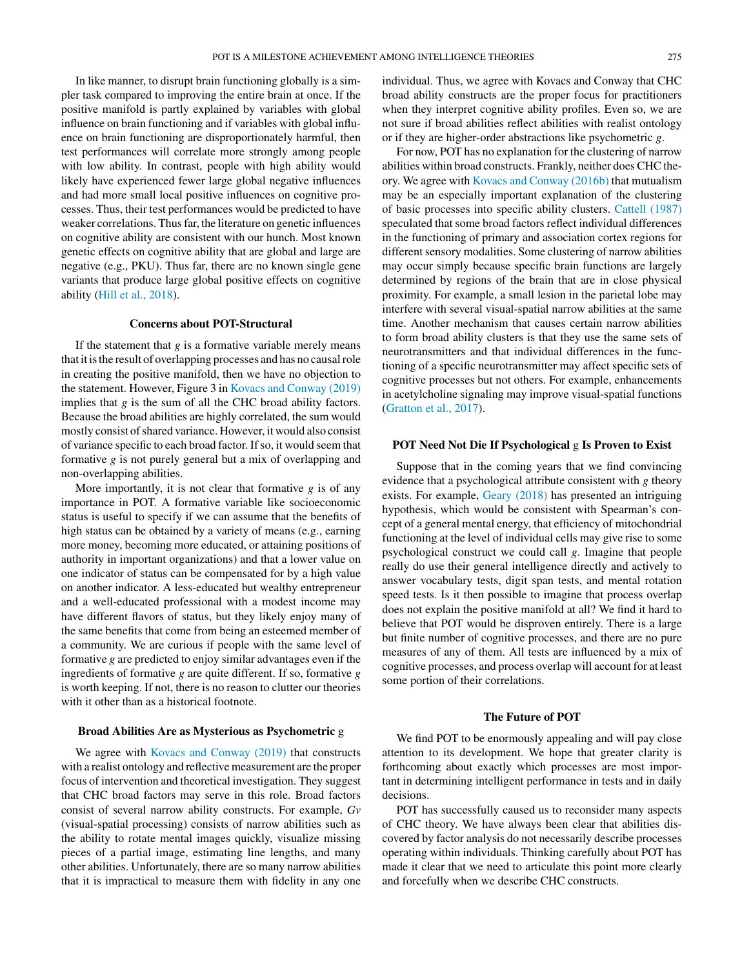In like manner, to disrupt brain functioning globally is a simpler task compared to improving the entire brain at once. If the positive manifold is partly explained by variables with global influence on brain functioning and if variables with global influence on brain functioning are disproportionately harmful, then test performances will correlate more strongly among people with low ability. In contrast, people with high ability would likely have experienced fewer large global negative influences and had more small local positive influences on cognitive processes. Thus, their test performances would be predicted to have weaker correlations. Thus far, the literature on genetic influences on cognitive ability are consistent with our hunch. Most known genetic effects on cognitive ability that are global and large are negative (e.g., PKU). Thus far, there are no known single gene variants that produce large global positive effects on cognitive ability [\(Hill](#page-4-0) et [al.,](#page-4-0) [2018\).](#page-4-0)

# **Concerns about POT-Structural**

If the statement that  $g$  is a formative variable merely means that it isthe result of overlapping processes and has no causalrole in creating the positive manifold, then we have no objection to the statement. However, Figure 3 in [Kovacs](#page-4-0) [and](#page-4-0) [Conway](#page-4-0) [\(2019\)](#page-4-0) implies that *g* is the sum of all the CHC broad ability factors. Because the broad abilities are highly correlated, the sum would mostly consist of shared variance. However, it would also consist of variance specific to each broad factor. If so, it would seem that formative *g* is not purely general but a mix of overlapping and non-overlapping abilities.

More importantly, it is not clear that formative *g* is of any importance in POT. A formative variable like socioeconomic status is useful to specify if we can assume that the benefits of high status can be obtained by a variety of means (e.g., earning more money, becoming more educated, or attaining positions of authority in important organizations) and that a lower value on one indicator of status can be compensated for by a high value on another indicator. A less-educated but wealthy entrepreneur and a well-educated professional with a modest income may have different flavors of status, but they likely enjoy many of the same benefits that come from being an esteemed member of a community. We are curious if people with the same level of formative *g* are predicted to enjoy similar advantages even if the ingredients of formative *g* are quite different. If so, formative *g* is worth keeping. If not, there is no reason to clutter our theories with it other than as a historical footnote.

#### **Broad Abilities Are as Mysterious as Psychometric** g

We agree with [Kovacs](#page-4-0) [and](#page-4-0) [Conway](#page-4-0) [\(2019\)](#page-4-0) that constructs with a realist ontology and reflective measurement are the proper focus of intervention and theoretical investigation. They suggest that CHC broad factors may serve in this role. Broad factors consist of several narrow ability constructs. For example, *Gv* (visual-spatial processing) consists of narrow abilities such as the ability to rotate mental images quickly, visualize missing pieces of a partial image, estimating line lengths, and many other abilities. Unfortunately, there are so many narrow abilities that it is impractical to measure them with fidelity in any one

individual. Thus, we agree with Kovacs and Conway that CHC broad ability constructs are the proper focus for practitioners when they interpret cognitive ability profiles. Even so, we are not sure if broad abilities reflect abilities with realist ontology or if they are higher-order abstractions like psychometric *g*.

For now, POT has no explanation for the clustering of narrow abilities within broad constructs. Frankly, neither does CHC theory. We agree with [Kovacs](#page-4-0) [and](#page-4-0) [Conway](#page-4-0) [\(2016b\)](#page-4-0) that mutualism may be an especially important explanation of the clustering of basic processes into specific ability clusters. [Cattell](#page-4-0) [\(1987\)](#page-4-0) speculated that some broad factors reflect individual differences in the functioning of primary and association cortex regions for different sensory modalities. Some clustering of narrow abilities may occur simply because specific brain functions are largely determined by regions of the brain that are in close physical proximity. For example, a small lesion in the parietal lobe may interfere with several visual-spatial narrow abilities at the same time. Another mechanism that causes certain narrow abilities to form broad ability clusters is that they use the same sets of neurotransmitters and that individual differences in the functioning of a specific neurotransmitter may affect specific sets of cognitive processes but not others. For example, enhancements in acetylcholine signaling may improve visual-spatial functions [\(Gratton](#page-4-0) et [al.,](#page-4-0) [2017\).](#page-4-0)

# **POT Need Not Die If Psychological** g **Is Proven to Exist**

Suppose that in the coming years that we find convincing evidence that a psychological attribute consistent with *g* theory exists. For example, [Geary](#page-4-0) [\(2018\)](#page-4-0) has presented an intriguing hypothesis, which would be consistent with Spearman's concept of a general mental energy, that efficiency of mitochondrial functioning at the level of individual cells may give rise to some psychological construct we could call *g*. Imagine that people really do use their general intelligence directly and actively to answer vocabulary tests, digit span tests, and mental rotation speed tests. Is it then possible to imagine that process overlap does not explain the positive manifold at all? We find it hard to believe that POT would be disproven entirely. There is a large but finite number of cognitive processes, and there are no pure measures of any of them. All tests are influenced by a mix of cognitive processes, and process overlap will account for at least some portion of their correlations.

## **The Future of POT**

We find POT to be enormously appealing and will pay close attention to its development. We hope that greater clarity is forthcoming about exactly which processes are most important in determining intelligent performance in tests and in daily decisions.

POT has successfully caused us to reconsider many aspects of CHC theory. We have always been clear that abilities discovered by factor analysis do not necessarily describe processes operating within individuals. Thinking carefully about POT has made it clear that we need to articulate this point more clearly and forcefully when we describe CHC constructs.